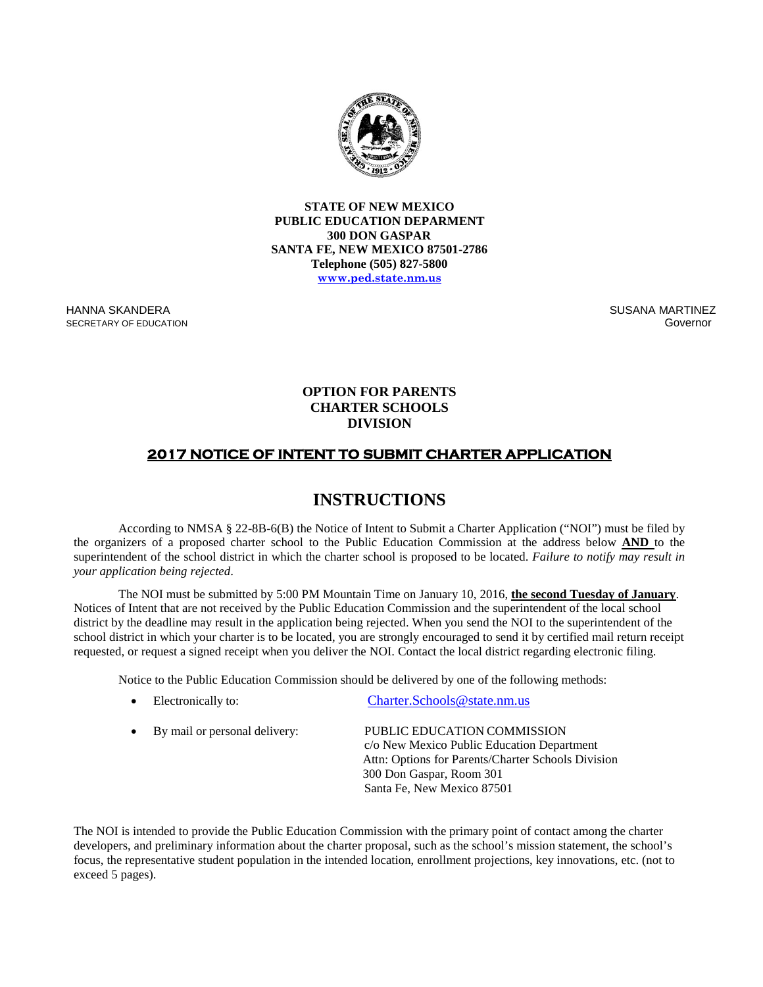

**STATE OF NEW MEXICO PUBLIC EDUCATION DEPARMENT 300 DON GASPAR SANTA FE, NEW MEXICO 87501-2786 Telephone (505) 827-5800 [www.ped.state.nm.us](http://www.sde.state.nm.us/)**

HANNA SKANDERA SECRETARY OF EDUCATION SUSANA MARTINEZ Governor

### **OPTION FOR PARENTS CHARTER SCHOOLS DIVISION**

## **2017 NOTICE OF INTENT TO SUBMIT CHARTER APPLICATION**

# **INSTRUCTIONS**

According to NMSA § 22-8B-6(B) the Notice of Intent to Submit a Charter Application ("NOI") must be filed by the organizers of a proposed charter school to the Public Education Commission at the address below **AND** to the superintendent of the school district in which the charter school is proposed to be located. *Failure to notify may result in your application being rejected*.

The NOI must be submitted by 5:00 PM Mountain Time on January 10, 2016, **the second Tuesday of January**. Notices of Intent that are not received by the Public Education Commission and the superintendent of the local school district by the deadline may result in the application being rejected. When you send the NOI to the superintendent of the school district in which your charter is to be located, you are strongly encouraged to send it by certified mail return receipt requested, or request a signed receipt when you deliver the NOI. Contact the local district regarding electronic filing.

Notice to the Public Education Commission should be delivered by one of the following methods:

| $\bullet$ | Electronically to:            | Charter.Schools@state.nm.us                                               |
|-----------|-------------------------------|---------------------------------------------------------------------------|
| $\bullet$ | By mail or personal delivery: | PUBLIC EDUCATION COMMISSION<br>c/o New Mexico Public Education Department |
|           |                               | Attn: Options for Parents/Charter Schools Division                        |
|           |                               | 300 Don Gaspar, Room 301                                                  |
|           |                               | Santa Fe, New Mexico 87501                                                |

The NOI is intended to provide the Public Education Commission with the primary point of contact among the charter developers, and preliminary information about the charter proposal, such as the school's mission statement, the school's focus, the representative student population in the intended location, enrollment projections, key innovations, etc. (not to exceed 5 pages).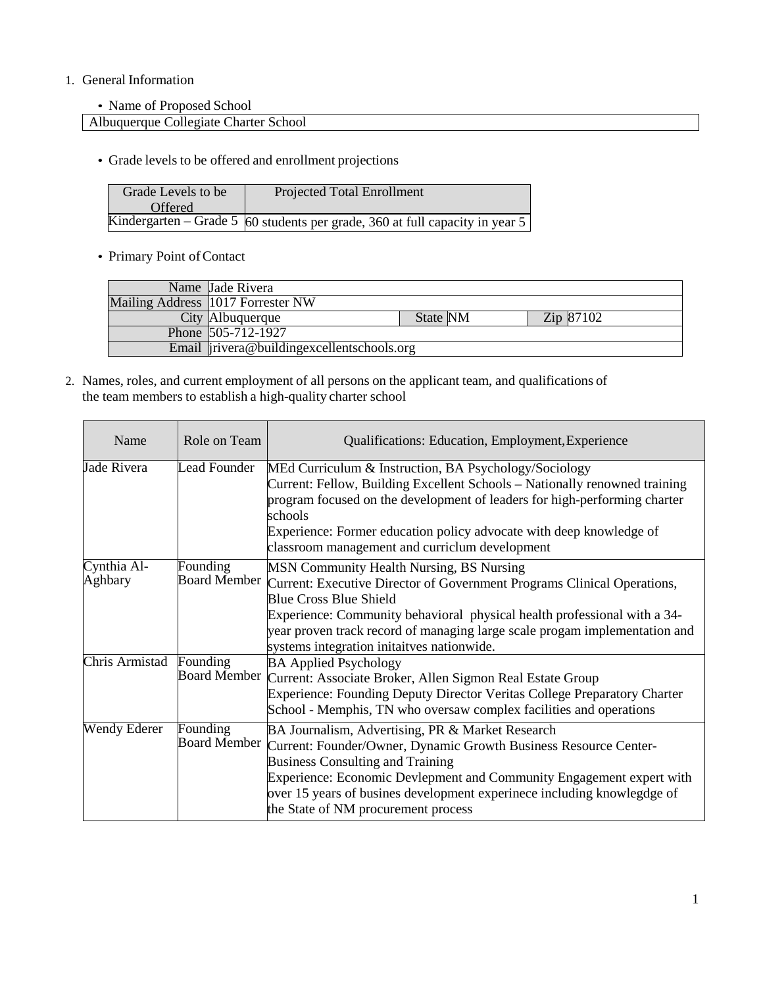## 1. General Information

• Name of Proposed School

Albuquerque Collegiate Charter School

• Grade levels to be offered and enrollment projections

| Grade Levels to be | <b>Projected Total Enrollment</b>                                                         |
|--------------------|-------------------------------------------------------------------------------------------|
| <b>Offered</b>     |                                                                                           |
|                    | Kindergarten – Grade 5 $\overline{60}$ students per grade, 360 at full capacity in year 5 |

• Primary Point of Contact

| Name Jade Rivera                           |                 |                 |  |
|--------------------------------------------|-----------------|-----------------|--|
| Mailing Address 1017 Forrester NW          |                 |                 |  |
| City Albuquerque                           | <b>State NM</b> | $\rm Zip$ 87102 |  |
| Phone 505-712-1927                         |                 |                 |  |
| Email irivera@buildingexcellentschools.org |                 |                 |  |

2. Names, roles, and current employment of all persons on the applicant team, and qualifications of the team members to establish a high-quality charter school

| Name                   | Role on Team                    | Qualifications: Education, Employment, Experience                                                                                                                                                                                                                                                                                                            |
|------------------------|---------------------------------|--------------------------------------------------------------------------------------------------------------------------------------------------------------------------------------------------------------------------------------------------------------------------------------------------------------------------------------------------------------|
| Jade Rivera            | Lead Founder                    | MEd Curriculum & Instruction, BA Psychology/Sociology<br>Current: Fellow, Building Excellent Schools – Nationally renowned training<br>program focused on the development of leaders for high-performing charter<br>schools<br>Experience: Former education policy advocate with deep knowledge of<br>classroom management and curriclum development         |
| Cynthia Al-<br>Aghbary | Founding<br><b>Board Member</b> | MSN Community Health Nursing, BS Nursing<br>Current: Executive Director of Government Programs Clinical Operations,<br><b>Blue Cross Blue Shield</b><br>Experience: Community behavioral physical health professional with a 34-<br>year proven track record of managing large scale progam implementation and<br>systems integration initaitves nationwide. |
| Chris Armistad         | Founding                        | <b>BA Applied Psychology</b><br>Board Member Current: Associate Broker, Allen Sigmon Real Estate Group<br><b>Experience: Founding Deputy Director Veritas College Preparatory Charter</b><br>School - Memphis, TN who oversaw complex facilities and operations                                                                                              |
| Wendy Ederer           | Founding<br><b>Board Member</b> | BA Journalism, Advertising, PR & Market Research<br>Current: Founder/Owner, Dynamic Growth Business Resource Center-<br><b>Business Consulting and Training</b><br>Experience: Economic Devlepment and Community Engagement expert with<br>over 15 years of busines development experinece including knowlegdge of<br>the State of NM procurement process    |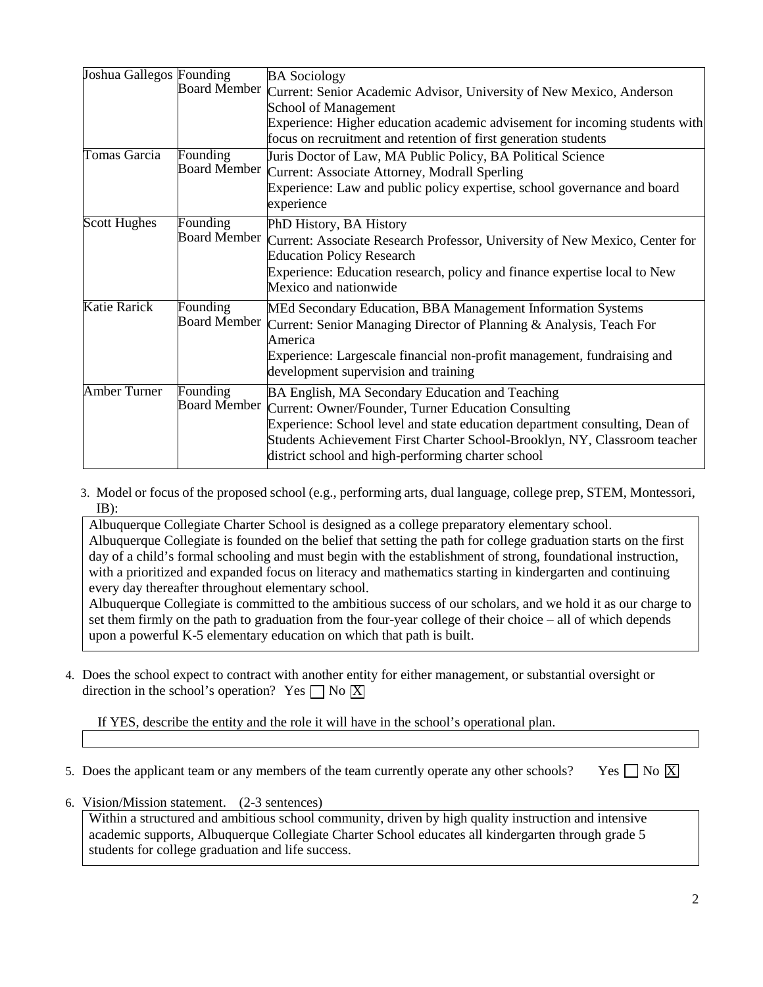| Joshua Gallegos Founding |                     | <b>BA Sociology</b>                                                                      |
|--------------------------|---------------------|------------------------------------------------------------------------------------------|
|                          | <b>Board Member</b> | Current: Senior Academic Advisor, University of New Mexico, Anderson                     |
|                          |                     | School of Management                                                                     |
|                          |                     | Experience: Higher education academic advisement for incoming students with              |
|                          |                     | focus on recruitment and retention of first generation students                          |
| Tomas Garcia             | Founding            | Juris Doctor of Law, MA Public Policy, BA Political Science                              |
|                          | <b>Board Member</b> | Current: Associate Attorney, Modrall Sperling                                            |
|                          |                     | Experience: Law and public policy expertise, school governance and board                 |
|                          |                     | experience                                                                               |
| <b>Scott Hughes</b>      | Founding            | PhD History, BA History                                                                  |
|                          |                     | Board Member Current: Associate Research Professor, University of New Mexico, Center for |
|                          |                     | <b>Education Policy Research</b>                                                         |
|                          |                     | Experience: Education research, policy and finance expertise local to New                |
|                          |                     | Mexico and nationwide                                                                    |
| Katie Rarick             | Founding            | MEd Secondary Education, BBA Management Information Systems                              |
|                          | <b>Board Member</b> | Current: Senior Managing Director of Planning & Analysis, Teach For                      |
|                          |                     | America                                                                                  |
|                          |                     | Experience: Largescale financial non-profit management, fundraising and                  |
|                          |                     | development supervision and training                                                     |
| <b>Amber Turner</b>      | Founding            | BA English, MA Secondary Education and Teaching                                          |
|                          |                     | Board Member Current: Owner/Founder, Turner Education Consulting                         |
|                          |                     | Experience: School level and state education department consulting, Dean of              |
|                          |                     | Students Achievement First Charter School-Brooklyn, NY, Classroom teacher                |
|                          |                     | district school and high-performing charter school                                       |

3. Model or focus of the proposed school (e.g., performing arts, dual language, college prep, STEM, Montessori, IB):

Albuquerque Collegiate Charter School is designed as a college preparatory elementary school. Albuquerque Collegiate is founded on the belief that setting the path for college graduation starts on the first day of a child's formal schooling and must begin with the establishment of strong, foundational instruction, with a prioritized and expanded focus on literacy and mathematics starting in kindergarten and continuing every day thereafter throughout elementary school.

Albuquerque Collegiate is committed to the ambitious success of our scholars, and we hold it as our charge to set them firmly on the path to graduation from the four-year college of their choice – all of which depends upon a powerful K-5 elementary education on which that path is built.

4. Does the school expect to contract with another entity for either management, or substantial oversight or direction in the school's operation? Yes  $\Box$  No  $\overline{X}$ 

If YES, describe the entity and the role it will have in the school's operational plan.

- 5. Does the applicant team or any members of the team currently operate any other schools? Yes  $\Box$  No  $\overline{X}$ 
	-

6. Vision/Mission statement. (2-3 sentences)

Within a structured and ambitious school community, driven by high quality instruction and intensive academic supports, Albuquerque Collegiate Charter School educates all kindergarten through grade 5 students for college graduation and life success.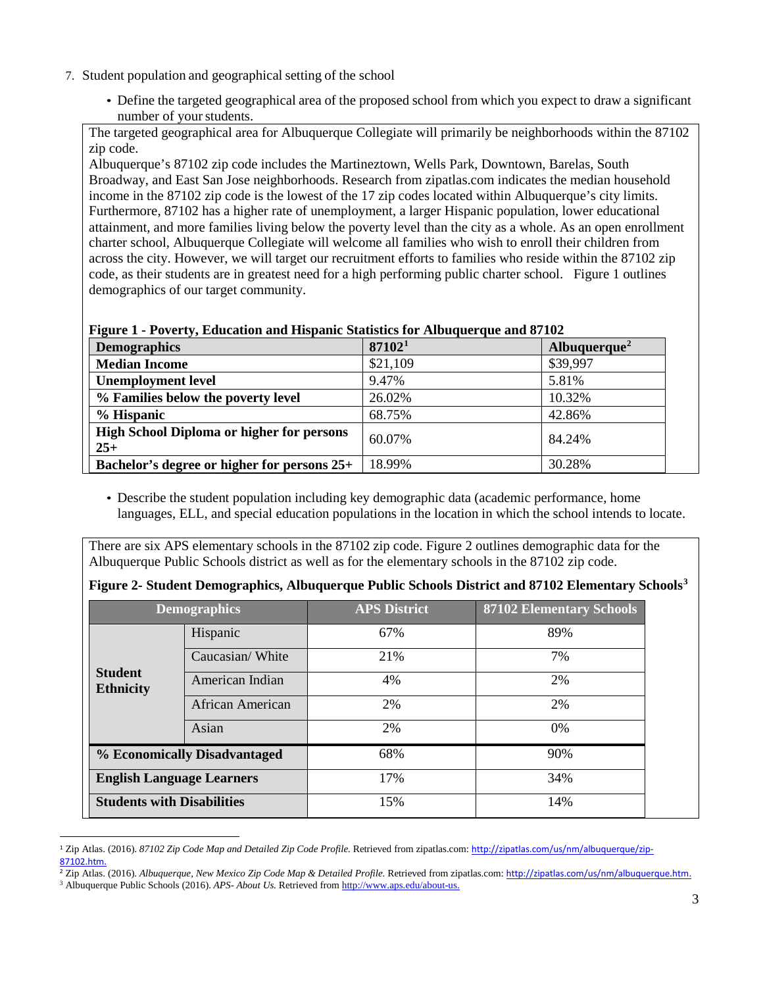- 7. Student population and geographical setting of the school
	- Define the targeted geographical area of the proposed school from which you expect to draw a significant number of your students.

The targeted geographical area for Albuquerque Collegiate will primarily be neighborhoods within the 87102 zip code.

Albuquerque's 87102 zip code includes the Martineztown, Wells Park, Downtown, Barelas, South Broadway, and East San Jose neighborhoods. Research from zipatlas.com indicates the median household income in the 87102 zip code is the lowest of the 17 zip codes located within Albuquerque's city limits. Furthermore, 87102 has a higher rate of unemployment, a larger Hispanic population, lower educational attainment, and more families living below the poverty level than the city as a whole. As an open enrollment charter school, Albuquerque Collegiate will welcome all families who wish to enroll their children from across the city. However, we will target our recruitment efforts to families who reside within the 87102 zip code, as their students are in greatest need for a high performing public charter school. Figure 1 outlines demographics of our target community.

#### **Figure 1 - Poverty, Education and Hispanic Statistics for Albuquerque and 87102**

| <b>Demographics</b>                                       | 871021   | Albuquerque <sup>2</sup> |
|-----------------------------------------------------------|----------|--------------------------|
| <b>Median Income</b>                                      | \$21,109 | \$39,997                 |
| <b>Unemployment level</b>                                 | 9.47%    | 5.81%                    |
| % Families below the poverty level                        | 26.02%   | 10.32%                   |
| % Hispanic                                                | 68.75%   | 42.86%                   |
| <b>High School Diploma or higher for persons</b><br>$25+$ | 60.07%   | 84.24%                   |
| Bachelor's degree or higher for persons 25+               | 18.99%   | 30.28%                   |

• Describe the student population including key demographic data (academic performance, home languages, ELL, and special education populations in the location in which the school intends to locate.

There are six APS elementary schools in the 87102 zip code. Figure 2 outlines demographic data for the Albuquerque Public Schools district as well as for the elementary schools in the 87102 zip code.

|                                    | <b>Demographics</b>               | <b>APS District</b> | <b>87102 Elementary Schools</b> |
|------------------------------------|-----------------------------------|---------------------|---------------------------------|
|                                    | Hispanic                          | 67%                 | 89%                             |
|                                    | Caucasian/White                   | 21%                 | 7%                              |
| <b>Student</b><br><b>Ethnicity</b> | American Indian                   | 4%                  | 2%                              |
|                                    | African American                  | 2%                  | 2%                              |
|                                    | Asian                             | 2%                  | $0\%$                           |
|                                    | % Economically Disadvantaged      | 68%                 | 90%                             |
| <b>English Language Learners</b>   |                                   | 17%                 | 34%                             |
|                                    | <b>Students with Disabilities</b> | 15%                 | 14%                             |

|  |  |  |  |  |  | Figure 2- Student Demographics, Albuquerque Public Schools District and 87102 Elementary Schools <sup>3</sup> |  |
|--|--|--|--|--|--|---------------------------------------------------------------------------------------------------------------|--|
|--|--|--|--|--|--|---------------------------------------------------------------------------------------------------------------|--|

<span id="page-3-0"></span> $\overline{a}$ <sup>1</sup> Zip Atlas. (2016). *87102 Zip Code Map and Detailed Zip Code Profile.* Retrieved from zipatlas.com: [http://zipatlas.com/us/nm/albuquerque/zip-](http://zipatlas.com/us/nm/albuquerque/zip-87102.htm)[87102.htm.](http://zipatlas.com/us/nm/albuquerque/zip-87102.htm)

<span id="page-3-1"></span><sup>2</sup> Zip Atlas. (2016). *Albuquerque, New Mexico Zip Code Map & Detailed Profile.* Retrieved from zipatlas.com: [http://zipatlas.com/us/nm/albuquerque.htm.](http://zipatlas.com/us/nm/albuquerque.htm)

<span id="page-3-2"></span><sup>3</sup> Albuquerque Public Schools (2016). *APS- About Us.* Retrieved fro[m http://www.aps.edu/about-us.](http://www.aps.edu/about-us)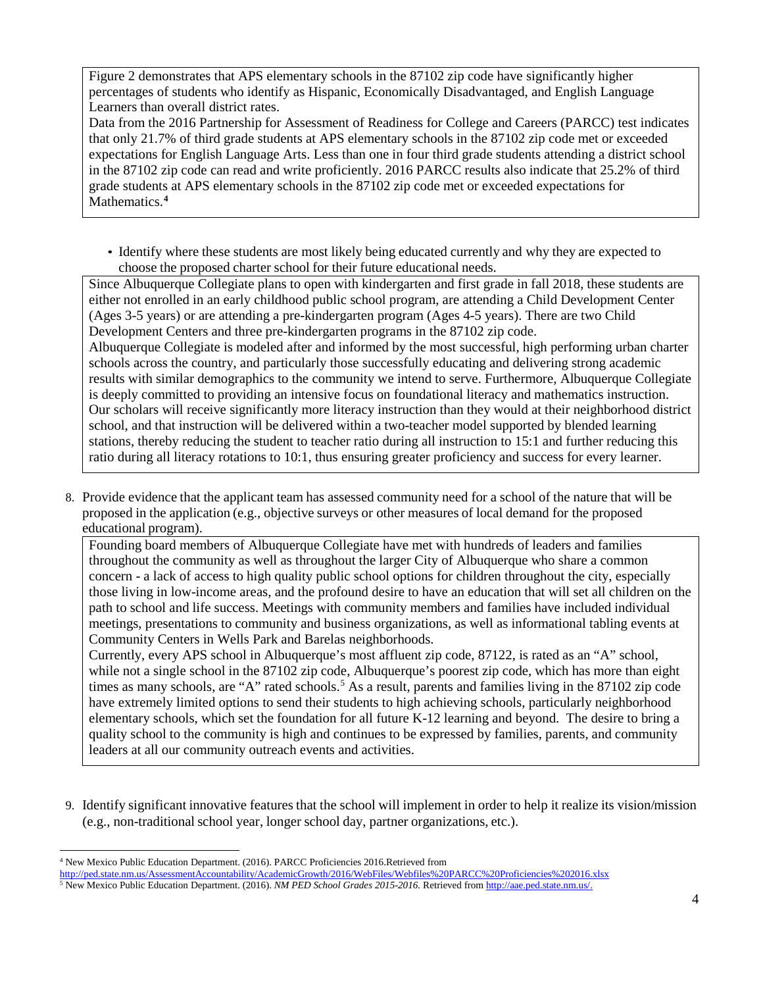Figure 2 demonstrates that APS elementary schools in the  $871\overline{02}$  zip code have significantly higher percentages of students who identify as Hispanic, Economically Disadvantaged, and English Language Learners than overall district rates.

Data from the 2016 Partnership for Assessment of Readiness for College and Careers (PARCC) test indicates that only 21.7% of third grade students at APS elementary schools in the 87102 zip code met or exceeded expectations for English Language Arts. Less than one in four third grade students attending a district school in the 87102 zip code can read and write proficiently. 2016 PARCC results also indicate that 25.2% of third grade students at APS elementary schools in the 87102 zip code met or exceeded expectations for Mathematics.**[4](#page-4-0)**

• Identify where these students are most likely being educated currently and why they are expected to choose the proposed charter school for their future educational needs.

Since Albuquerque Collegiate plans to open with kindergarten and first grade in fall 2018, these students are either not enrolled in an early childhood public school program, are attending a Child Development Center (Ages 3-5 years) or are attending a pre-kindergarten program (Ages 4-5 years). There are two Child Development Centers and three pre-kindergarten programs in the 87102 zip code.

Albuquerque Collegiate is modeled after and informed by the most successful, high performing urban charter schools across the country, and particularly those successfully educating and delivering strong academic results with similar demographics to the community we intend to serve. Furthermore, Albuquerque Collegiate is deeply committed to providing an intensive focus on foundational literacy and mathematics instruction. Our scholars will receive significantly more literacy instruction than they would at their neighborhood district school, and that instruction will be delivered within a two-teacher model supported by blended learning stations, thereby reducing the student to teacher ratio during all instruction to 15:1 and further reducing this ratio during all literacy rotations to 10:1, thus ensuring greater proficiency and success for every learner.

8. Provide evidence that the applicant team has assessed community need for a school of the nature that will be proposed in the application (e.g., objective surveys or other measures of local demand for the proposed educational program).

Founding board members of Albuquerque Collegiate have met with hundreds of leaders and families throughout the community as well as throughout the larger City of Albuquerque who share a common concern - a lack of access to high quality public school options for children throughout the city, especially those living in low-income areas, and the profound desire to have an education that will set all children on the path to school and life success. Meetings with community members and families have included individual meetings, presentations to community and business organizations, as well as informational tabling events at Community Centers in Wells Park and Barelas neighborhoods.

Currently, every APS school in Albuquerque's most affluent zip code, 87122, is rated as an "A" school, while not a single school in the 87102 zip code, Albuquerque's poorest zip code, which has more than eight times as many schools, are "A" rated schools.<sup>[5](#page-4-1)</sup> As a result, parents and families living in the 87102 zip code have extremely limited options to send their students to high achieving schools, particularly neighborhood elementary schools, which set the foundation for all future K-12 learning and beyond. The desire to bring a quality school to the community is high and continues to be expressed by families, parents, and community leaders at all our community outreach events and activities.

9. Identify significant innovative features that the school will implement in order to help it realize its vision/mission (e.g., non-traditional school year, longer school day, partner organizations, etc.).

<span id="page-4-0"></span> <sup>4</sup> New Mexico Public Education Department. (2016). PARCC Proficiencies 2016.Retrieved from <http://ped.state.nm.us/AssessmentAccountability/AcademicGrowth/2016/WebFiles/Webfiles%20PARCC%20Proficiencies%202016.xlsx>

<span id="page-4-1"></span><sup>5</sup> New Mexico Public Education Department. (2016). *NM PED School Grades 2015-2016.* Retrieved fro[m http://aae.ped.state.nm.us/.](http://aae.ped.state.nm.us/)